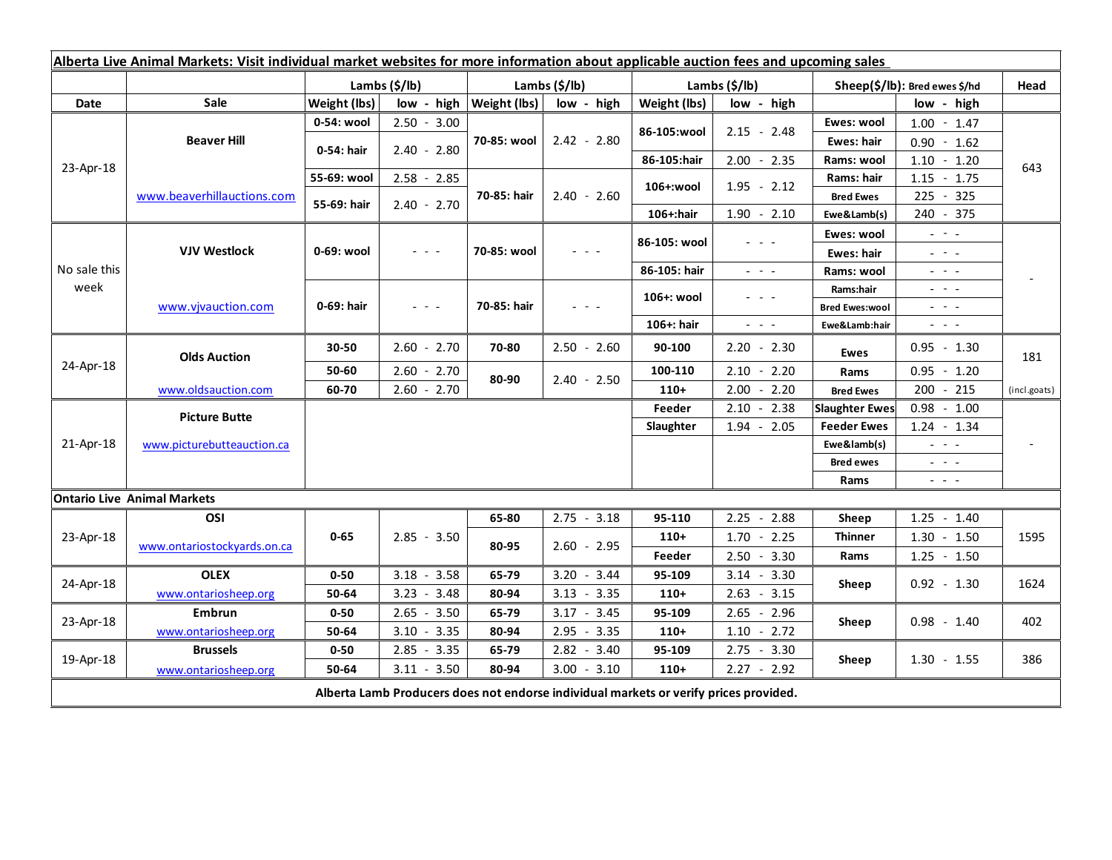| Alberta Live Animal Markets: Visit individual market websites for more information about applicable auction fees and upcoming sales |                                    |               |                                    |                               |               |                           |                                                           |                               |                                                                                                                           |              |
|-------------------------------------------------------------------------------------------------------------------------------------|------------------------------------|---------------|------------------------------------|-------------------------------|---------------|---------------------------|-----------------------------------------------------------|-------------------------------|---------------------------------------------------------------------------------------------------------------------------|--------------|
|                                                                                                                                     |                                    | Lambs (\$/lb) |                                    | Lambs $(S/lb)$                |               | Lambs $(\frac{2}{3})$ lb) |                                                           | Sheep(\$/lb): Bred ewes \$/hd |                                                                                                                           | Head         |
| <b>Date</b>                                                                                                                         | <b>Sale</b>                        | Weight (lbs)  |                                    | $low - high   Weight (lbs)  $ | low - high    | Weight (lbs)              | low - high                                                |                               | low - high                                                                                                                |              |
| 23-Apr-18                                                                                                                           | <b>Beaver Hill</b>                 | 0-54: wool    | $2.50 - 3.00$                      | 70-85: wool                   | $2.42 - 2.80$ | 86-105:wool               | $2.15 - 2.48$                                             | Ewes: wool                    | $1.00 - 1.47$                                                                                                             | 643          |
|                                                                                                                                     |                                    | 0-54: hair    | $2.40 - 2.80$                      |                               |               |                           |                                                           | <b>Ewes: hair</b>             | $0.90 - 1.62$                                                                                                             |              |
|                                                                                                                                     |                                    |               |                                    |                               |               | 86-105:hair               | $2.00 - 2.35$                                             | Rams: wool                    | $1.10 - 1.20$                                                                                                             |              |
|                                                                                                                                     | www.beaverhillauctions.com         | 55-69: wool   | $2.58 - 2.85$                      | 70-85: hair                   | $2.40 - 2.60$ | 106+:wool                 | $1.95 - 2.12$                                             | Rams: hair                    | $1.15 - 1.75$                                                                                                             |              |
|                                                                                                                                     |                                    | 55-69: hair   | $2.40 - 2.70$                      |                               |               |                           |                                                           | <b>Bred Ewes</b>              | $225 - 325$                                                                                                               |              |
|                                                                                                                                     |                                    |               |                                    |                               |               | 106+:hair                 | $1.90 - 2.10$                                             | Ewe&Lamb(s)                   | 240 - 375                                                                                                                 |              |
| No sale this<br>week                                                                                                                | <b>VJV Westlock</b>                | 0-69: wool    | $ -$                               | 70-85: wool                   |               | 86-105: wool              |                                                           | Ewes: wool                    | $\omega_{\rm c}$ , $\omega_{\rm c}$                                                                                       |              |
|                                                                                                                                     |                                    |               |                                    |                               |               |                           |                                                           | Ewes: hair                    | $\mathbb{Z}^2 \times \mathbb{Z}^2$                                                                                        |              |
|                                                                                                                                     |                                    |               |                                    |                               |               | 86-105: hair              | $\omega_{\rm{c}}$ , $\omega_{\rm{c}}$ , $\omega_{\rm{c}}$ | Rams: wool                    | $  -$                                                                                                                     |              |
|                                                                                                                                     | www.vjvauction.com                 | 0-69: hair    | $\mathbb{L}^2 \times \mathbb{L}^2$ | 70-85: hair                   | $  -$         | 106+: wool                | - - -                                                     | Rams:hair                     | $  -$                                                                                                                     |              |
|                                                                                                                                     |                                    |               |                                    |                               |               |                           |                                                           | <b>Bred Ewes:wool</b>         | $\mathbb{L}^2 \times \mathbb{L}^2$                                                                                        |              |
|                                                                                                                                     |                                    |               |                                    |                               |               | 106+: hair                | $\omega_{\rm{eff}}$ and $\omega_{\rm{eff}}$               | Ewe&Lamb:hair                 | $\frac{1}{2} \left( \frac{1}{2} \right) \left( \frac{1}{2} \right) \left( \frac{1}{2} \right) \left( \frac{1}{2} \right)$ |              |
| 24-Apr-18                                                                                                                           | <b>Olds Auction</b>                | 30-50         | $2.60 - 2.70$                      | 70-80                         | $2.50 - 2.60$ | 90-100                    | $2.20 - 2.30$                                             | <b>Ewes</b>                   | $0.95 - 1.30$                                                                                                             | 181          |
|                                                                                                                                     |                                    | 50-60         | $2.60 - 2.70$                      | 80-90                         | $2.40 - 2.50$ | 100-110                   | $2.10 - 2.20$                                             | Rams                          | $0.95 - 1.20$                                                                                                             |              |
|                                                                                                                                     | www.oldsauction.com                | 60-70         | $2.60 - 2.70$                      |                               |               | $110+$                    | $2.00 - 2.20$                                             | <b>Bred Ewes</b>              | $200 - 215$                                                                                                               | (incl.goats) |
| 21-Apr-18                                                                                                                           | <b>Picture Butte</b>               |               |                                    |                               |               | Feeder                    | $2.10 - 2.38$                                             | <b>Slaughter Ewes</b>         | $0.98 - 1.00$                                                                                                             |              |
|                                                                                                                                     | www.picturebutteauction.ca         |               |                                    |                               |               | Slaughter                 | $1.94 - 2.05$                                             | <b>Feeder Ewes</b>            | $1.24 - 1.34$                                                                                                             |              |
|                                                                                                                                     |                                    |               |                                    |                               |               |                           |                                                           | Ewe&lamb(s)                   | $\mathbb{L}^2 \times \mathbb{L}^2$                                                                                        |              |
|                                                                                                                                     |                                    |               |                                    |                               |               |                           |                                                           | <b>Bred ewes</b>              | $\frac{1}{2} \left( \frac{1}{2} \right) = \frac{1}{2} \left( \frac{1}{2} \right)$                                         |              |
|                                                                                                                                     |                                    |               |                                    |                               |               |                           |                                                           | Rams                          | $\frac{1}{2} \left( \frac{1}{2} \right) \frac{1}{2} \left( \frac{1}{2} \right) \frac{1}{2} \left( \frac{1}{2} \right)$    |              |
|                                                                                                                                     | <b>Ontario Live Animal Markets</b> |               |                                    |                               |               |                           |                                                           |                               |                                                                                                                           |              |
| 23-Apr-18                                                                                                                           | OSI                                | $0 - 65$      | $2.85 - 3.50$                      | 65-80<br>80-95                | $2.75 - 3.18$ | 95-110                    | $2.25 - 2.88$                                             | Sheep                         | $1.25 - 1.40$                                                                                                             | 1595         |
|                                                                                                                                     | www.ontariostockyards.on.ca        |               |                                    |                               | $2.60 - 2.95$ | $110+$                    | $1.70 - 2.25$                                             | <b>Thinner</b><br>Rams        | $1.30 - 1.50$                                                                                                             |              |
|                                                                                                                                     |                                    |               |                                    |                               |               | Feeder                    | $2.50 - 3.30$                                             |                               | $1.25 - 1.50$                                                                                                             |              |
| 24-Apr-18                                                                                                                           | <b>OLEX</b>                        | $0 - 50$      | $3.18 - 3.58$                      | 65-79                         | $3.20 - 3.44$ | 95-109                    | $3.14 - 3.30$                                             | Sheep                         | $0.92 - 1.30$                                                                                                             | 1624         |
|                                                                                                                                     | www.ontariosheep.org               | 50-64         | $3.23 - 3.48$                      | 80-94                         | $3.13 - 3.35$ | $110+$                    | $2.63 - 3.15$                                             |                               |                                                                                                                           |              |
| 23-Apr-18                                                                                                                           | Embrun                             | $0 - 50$      | $2.65 - 3.50$                      | 65-79                         | $3.17 - 3.45$ | 95-109                    | $2.65 - 2.96$                                             | Sheep                         | $0.98 - 1.40$                                                                                                             | 402          |
|                                                                                                                                     | www.ontariosheep.org               | 50-64         | $3.10 - 3.35$                      | 80-94                         | $2.95 - 3.35$ | $110+$                    | $1.10 - 2.72$                                             |                               |                                                                                                                           |              |
| 19-Apr-18                                                                                                                           | <b>Brussels</b>                    | $0 - 50$      | $2.85 - 3.35$                      | 65-79                         | $2.82 - 3.40$ | 95-109                    | $2.75 - 3.30$                                             | Sheep                         | $1.30 - 1.55$                                                                                                             | 386          |
|                                                                                                                                     | www.ontariosheep.org               | 50-64         | $3.11 - 3.50$                      | 80-94                         | $3.00 - 3.10$ | $110+$                    | $2.27 - 2.92$                                             |                               |                                                                                                                           |              |
| Alberta Lamb Producers does not endorse individual markets or verify prices provided.                                               |                                    |               |                                    |                               |               |                           |                                                           |                               |                                                                                                                           |              |